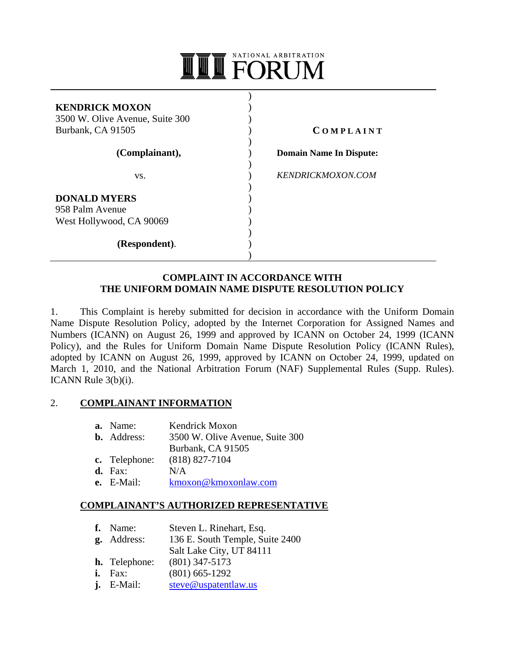# NATIONAL ARBITRATION **II** FORUM

 $\lambda$ 

| <b>KENDRICK MOXON</b><br>3500 W. Olive Avenue, Suite 300<br>Burbank, CA 91505 |  |
|-------------------------------------------------------------------------------|--|
| (Complainant),                                                                |  |
| VS.                                                                           |  |
| <b>DONALD MYERS</b><br>958 Palm Avenue                                        |  |
| West Hollywood, CA 90069                                                      |  |
| (Respondent).                                                                 |  |

**C O M P L A I N T**

 **Domain Name In Dispute:**

 *KENDRICKMOXON.COM*

## **COMPLAINT IN ACCORDANCE WITH THE UNIFORM DOMAIN NAME DISPUTE RESOLUTION POLICY**

1. This Complaint is hereby submitted for decision in accordance with the Uniform Domain Name Dispute Resolution Policy, adopted by the Internet Corporation for Assigned Names and Numbers (ICANN) on August 26, 1999 and approved by ICANN on October 24, 1999 (ICANN Policy), and the Rules for Uniform Domain Name Dispute Resolution Policy (ICANN Rules), adopted by ICANN on August 26, 1999, approved by ICANN on October 24, 1999, updated on March 1, 2010, and the National Arbitration Forum (NAF) Supplemental Rules (Supp. Rules). ICANN Rule 3(b)(i).

## 2. **COMPLAINANT INFORMATION**

| a. Name:            | Kendrick Moxon                  |
|---------------------|---------------------------------|
| <b>b.</b> Address:  | 3500 W. Olive Avenue, Suite 300 |
|                     | Burbank, CA 91505               |
| c. Telephone:       | $(818) 827 - 7104$              |
| $\mathbf{d}$ . Fax: | N/A                             |
| $e.$ E-Mail:        | kmoxon@kmoxonlaw.com            |

### **COMPLAINANT'S AUTHORIZED REPRESENTATIVE**

| f. Name:             | Steven L. Rinehart, Esq.        |
|----------------------|---------------------------------|
| <b>g.</b> Address:   | 136 E. South Temple, Suite 2400 |
|                      | Salt Lake City, UT 84111        |
| <b>h.</b> Telephone: | $(801)$ 347-5173                |
| $i.$ Fax:            | $(801)$ 665-1292                |
| $j.$ E-Mail:         | steve@uspatentlaw.us            |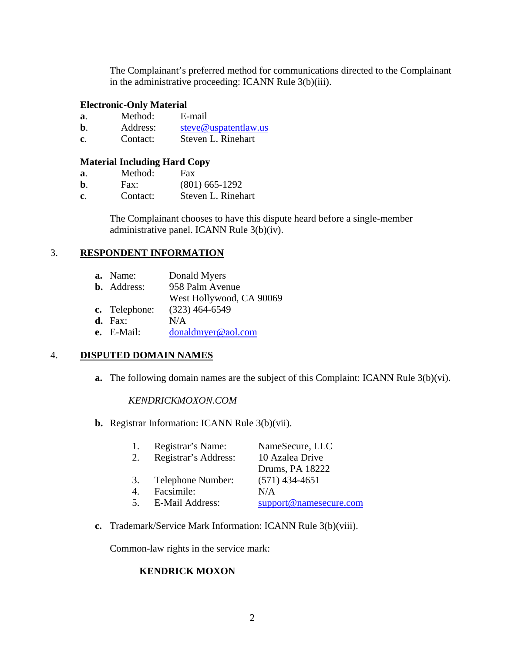The Complainant's preferred method for communications directed to the Complainant in the administrative proceeding: ICANN Rule 3(b)(iii).

#### **Electronic-Only Material**

| a. | Method:  | E-mail               |
|----|----------|----------------------|
| b  | Address: | steve@uspatentlaw.us |
| C. | Contact: | Steven L. Rinehart   |

#### **Material Including Hard Copy**

- **a**. Method: Fax
- **b**. Fax: (801) 665-1292
- **c**. Contact: Steven L. Rinehart

The Complainant chooses to have this dispute heard before a single-member administrative panel. ICANN Rule 3(b)(iv).

#### 3. **RESPONDENT INFORMATION**

| a. Name:           | Donald Myers             |
|--------------------|--------------------------|
| <b>b.</b> Address: | 958 Palm Avenue          |
|                    | West Hollywood, CA 90069 |
| c. Telephone:      | $(323)$ 464-6549         |
| $d. \quad$ Fax:    | N/A                      |
| e. E-Mail:         | donaldmyer@aol.com       |
|                    |                          |

## 4. **DISPUTED DOMAIN NAMES**

**a.** The following domain names are the subject of this Complaint: ICANN Rule 3(b)(vi).

#### *KENDRICKMOXON.COM*

**b.** Registrar Information: ICANN Rule 3(b)(vii).

| 1.               | Registrar's Name:      | NameSecure, LLC        |
|------------------|------------------------|------------------------|
| 2.               | Registrar's Address:   | 10 Azalea Drive        |
|                  |                        | Drums, PA 18222        |
| 3.               | Telephone Number:      | $(571)$ 434-4651       |
| $\overline{4}$ . | Facsimile:             | N/A                    |
| 5 <sub>1</sub>   | <b>E-Mail Address:</b> | support@namesecure.com |

**c.** Trademark/Service Mark Information: ICANN Rule 3(b)(viii).

Common-law rights in the service mark:

## **KENDRICK MOXON**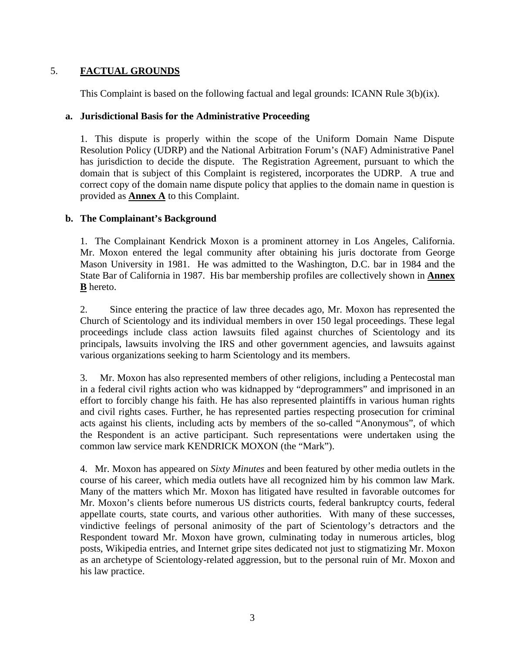# 5. **FACTUAL GROUNDS**

This Complaint is based on the following factual and legal grounds: ICANN Rule  $3(b)(ix)$ .

## **a. Jurisdictional Basis for the Administrative Proceeding**

1. This dispute is properly within the scope of the Uniform Domain Name Dispute Resolution Policy (UDRP) and the National Arbitration Forum's (NAF) Administrative Panel has jurisdiction to decide the dispute. The Registration Agreement, pursuant to which the domain that is subject of this Complaint is registered, incorporates the UDRP. A true and correct copy of the domain name dispute policy that applies to the domain name in question is provided as **Annex A** to this Complaint.

## **b. The Complainant's Background**

1. The Complainant Kendrick Moxon is a prominent attorney in Los Angeles, California. Mr. Moxon entered the legal community after obtaining his juris doctorate from George Mason University in 1981. He was admitted to the Washington, D.C. bar in 1984 and the State Bar of California in 1987. His bar membership profiles are collectively shown in **Annex B** hereto.

2. Since entering the practice of law three decades ago, Mr. Moxon has represented the Church of Scientology and its individual members in over 150 legal proceedings. These legal proceedings include class action lawsuits filed against churches of Scientology and its principals, lawsuits involving the IRS and other government agencies, and lawsuits against various organizations seeking to harm Scientology and its members.

3. Mr. Moxon has also represented members of other religions, including a Pentecostal man in a federal civil rights action who was kidnapped by "deprogrammers" and imprisoned in an effort to forcibly change his faith. He has also represented plaintiffs in various human rights and civil rights cases. Further, he has represented parties respecting prosecution for criminal acts against his clients, including acts by members of the so-called "Anonymous", of which the Respondent is an active participant. Such representations were undertaken using the common law service mark KENDRICK MOXON (the "Mark").

4. Mr. Moxon has appeared on *Sixty Minutes* and been featured by other media outlets in the course of his career, which media outlets have all recognized him by his common law Mark. Many of the matters which Mr. Moxon has litigated have resulted in favorable outcomes for Mr. Moxon's clients before numerous US districts courts, federal bankruptcy courts, federal appellate courts, state courts, and various other authorities. With many of these successes, vindictive feelings of personal animosity of the part of Scientology's detractors and the Respondent toward Mr. Moxon have grown, culminating today in numerous articles, blog posts, Wikipedia entries, and Internet gripe sites dedicated not just to stigmatizing Mr. Moxon as an archetype of Scientology-related aggression, but to the personal ruin of Mr. Moxon and his law practice.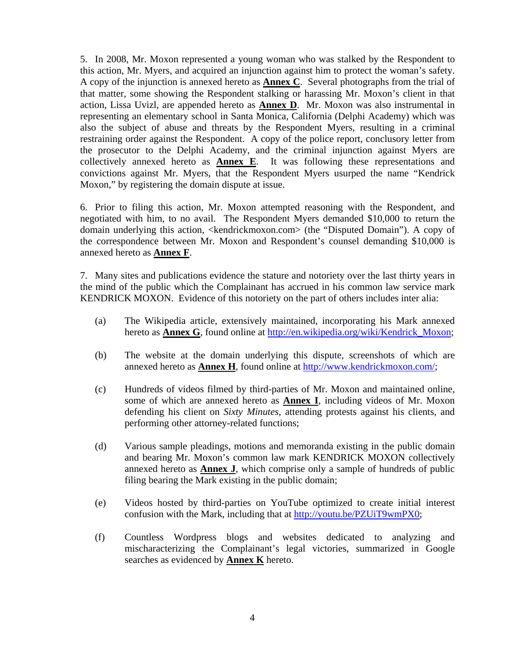5. In 2008, Mr. Moxon represented a young woman who was stalked by the Respondent to this action, Mr. Myers, and acquired an injunction against him to protect the woman's safety. A copy of the injunction is annexed hereto as **Annex C**. Several photographs from the trial of that matter, some showing the Respondent stalking or harassing Mr. Moxon's client in that action, Lissa Uvizl, are appended hereto as **Annex D**. Mr. Moxon was also instrumental in representing an elementary school in Santa Monica, California (Delphi Academy) which was also the subject of abuse and threats by the Respondent Myers, resulting in a criminal restraining order against the Respondent. A copy of the police report, conclusory letter from the prosecutor to the Delphi Academy, and the criminal injunction against Myers are collectively annexed hereto as **Annex E**. It was following these representations and convictions against Mr. Myers, that the Respondent Myers usurped the name "Kendrick Moxon," by registering the domain dispute at issue.

6. Prior to filing this action, Mr. Moxon attempted reasoning with the Respondent, and negotiated with him, to no avail. The Respondent Myers demanded \$10,000 to return the domain underlying this action, <kendrickmoxon.com> (the "Disputed Domain"). A copy of the correspondence between Mr. Moxon and Respondent's counsel demanding \$10,000 is annexed hereto as **Annex F**.

7. Many sites and publications evidence the stature and notoriety over the last thirty years in the mind of the public which the Complainant has accrued in his common law service mark KENDRICK MOXON. Evidence of this notoriety on the part of others includes inter alia:

- (a) The Wikipedia article, extensively maintained, incorporating his Mark annexed hereto as **Annex G**, found online at http://en.wikipedia.org/wiki/Kendrick\_Moxon;
- (b) The website at the domain underlying this dispute, screenshots of which are annexed hereto as **Annex H**, found online at http://www.kendrickmoxon.com/;
- (c) Hundreds of videos filmed by third-parties of Mr. Moxon and maintained online, some of which are annexed hereto as **Annex I**, including videos of Mr. Moxon defending his client on *Sixty Minutes*, attending protests against his clients, and performing other attorney-related functions;
- (d) Various sample pleadings, motions and memoranda existing in the public domain and bearing Mr. Moxon's common law mark KENDRICK MOXON collectively annexed hereto as **Annex J**, which comprise only a sample of hundreds of public filing bearing the Mark existing in the public domain;
- (e) Videos hosted by third-parties on YouTube optimized to create initial interest confusion with the Mark, including that at http://youtu.be/PZUiT9wmPX0;
- (f) Countless Wordpress blogs and websites dedicated to analyzing and mischaracterizing the Complainant's legal victories, summarized in Google searches as evidenced by **Annex K** hereto.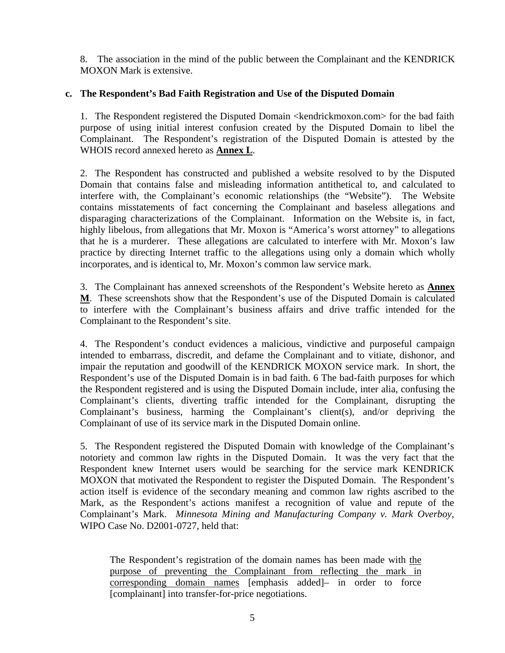8. The association in the mind of the public between the Complainant and the KENDRICK MOXON Mark is extensive.

## **c. The Respondent's Bad Faith Registration and Use of the Disputed Domain**

1. The Respondent registered the Disputed Domain <kendrickmoxon.com> for the bad faith purpose of using initial interest confusion created by the Disputed Domain to libel the Complainant. The Respondent's registration of the Disputed Domain is attested by the WHOIS record annexed hereto as **Annex L**.

2. The Respondent has constructed and published a website resolved to by the Disputed Domain that contains false and misleading information antithetical to, and calculated to interfere with, the Complainant's economic relationships (the "Website"). The Website contains misstatements of fact concerning the Complainant and baseless allegations and disparaging characterizations of the Complainant. Information on the Website is, in fact, highly libelous, from allegations that Mr. Moxon is "America's worst attorney" to allegations that he is a murderer. These allegations are calculated to interfere with Mr. Moxon's law practice by directing Internet traffic to the allegations using only a domain which wholly incorporates, and is identical to, Mr. Moxon's common law service mark.

3. The Complainant has annexed screenshots of the Respondent's Website hereto as **Annex M**. These screenshots show that the Respondent's use of the Disputed Domain is calculated to interfere with the Complainant's business affairs and drive traffic intended for the Complainant to the Respondent's site.

4. The Respondent's conduct evidences a malicious, vindictive and purposeful campaign intended to embarrass, discredit, and defame the Complainant and to vitiate, dishonor, and impair the reputation and goodwill of the KENDRICK MOXON service mark. In short, the Respondent's use of the Disputed Domain is in bad faith. 6 The bad-faith purposes for which the Respondent registered and is using the Disputed Domain include, inter alia, confusing the Complainant's clients, diverting traffic intended for the Complainant, disrupting the Complainant's business, harming the Complainant's client(s), and/or depriving the Complainant of use of its service mark in the Disputed Domain online.

5. The Respondent registered the Disputed Domain with knowledge of the Complainant's notoriety and common law rights in the Disputed Domain. It was the very fact that the Respondent knew Internet users would be searching for the service mark KENDRICK MOXON that motivated the Respondent to register the Disputed Domain. The Respondent's action itself is evidence of the secondary meaning and common law rights ascribed to the Mark, as the Respondent's actions manifest a recognition of value and repute of the Complainant's Mark. *Minnesota Mining and Manufacturing Company v. Mark Overboy*, WIPO Case No. D2001-0727, held that:

The Respondent's registration of the domain names has been made with the purpose of preventing the Complainant from reflecting the mark in corresponding domain names [emphasis added]– in order to force [complainant] into transfer-for-price negotiations.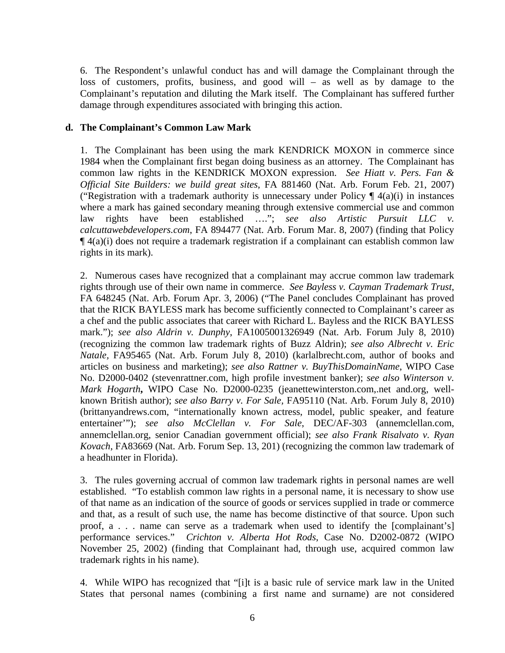6. The Respondent's unlawful conduct has and will damage the Complainant through the loss of customers, profits, business, and good will – as well as by damage to the Complainant's reputation and diluting the Mark itself. The Complainant has suffered further damage through expenditures associated with bringing this action.

## **d. The Complainant's Common Law Mark**

1. The Complainant has been using the mark KENDRICK MOXON in commerce since 1984 when the Complainant first began doing business as an attorney. The Complainant has common law rights in the KENDRICK MOXON expression. *See Hiatt v. Pers. Fan & Official Site Builders: we build great sites*, FA 881460 (Nat. Arb. Forum Feb. 21, 2007) ("Registration with a trademark authority is unnecessary under Policy  $\P$  4(a)(i) in instances where a mark has gained secondary meaning through extensive commercial use and common law rights have been established …."; *see also Artistic Pursuit LLC v. calcuttawebdevelopers.com*, FA 894477 (Nat. Arb. Forum Mar. 8, 2007) (finding that Policy  $\P$ 4(a)(i) does not require a trademark registration if a complainant can establish common law rights in its mark).

2. Numerous cases have recognized that a complainant may accrue common law trademark rights through use of their own name in commerce. *See Bayless v. Cayman Trademark Trust*, FA 648245 (Nat. Arb. Forum Apr. 3, 2006) ("The Panel concludes Complainant has proved that the RICK BAYLESS mark has become sufficiently connected to Complainant's career as a chef and the public associates that career with Richard L. Bayless and the RICK BAYLESS mark."); *see also Aldrin v. Dunphy*, FA1005001326949 (Nat. Arb. Forum July 8, 2010) (recognizing the common law trademark rights of Buzz Aldrin); *see also Albrecht v. Eric Natale,* FA95465 (Nat. Arb. Forum July 8, 2010) (karlalbrecht.com, author of books and articles on business and marketing); *see also Rattner v. BuyThisDomainName*, WIPO Case No. D2000-0402 (stevenrattner.com, high profile investment banker); *see also Winterson v. Mark Hogarth***,** WIPO Case No. D2000-0235 (jeanettewinterston.com,.net and.org, wellknown British author); *see also Barry v. For Sale,* FA95110 (Nat. Arb. Forum July 8, 2010) (brittanyandrews.com, "internationally known actress, model, public speaker, and feature entertainer'"); *see also McClellan v. For Sale*, DEC/AF-303 (annemclellan.com, annemclellan.org, senior Canadian government official); *see also Frank Risalvato v. Ryan Kovach*, FA83669 (Nat. Arb. Forum Sep. 13, 201) (recognizing the common law trademark of a headhunter in Florida).

3. The rules governing accrual of common law trademark rights in personal names are well established. "To establish common law rights in a personal name, it is necessary to show use of that name as an indication of the source of goods or services supplied in trade or commerce and that, as a result of such use, the name has become distinctive of that source. Upon such proof, a . . . name can serve as a trademark when used to identify the [complainant's] performance services." *Crichton v. Alberta Hot Rods*, Case No. D2002-0872 (WIPO November 25, 2002) (finding that Complainant had, through use, acquired common law trademark rights in his name).

4. While WIPO has recognized that "[i]t is a basic rule of service mark law in the United States that personal names (combining a first name and surname) are not considered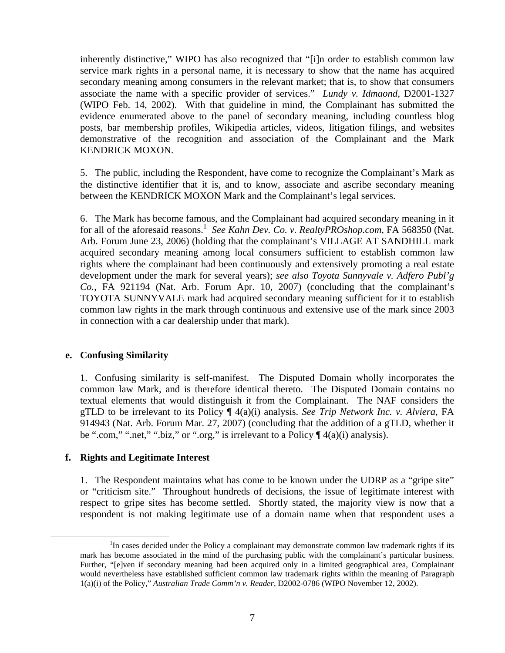inherently distinctive," WIPO has also recognized that "[i]n order to establish common law service mark rights in a personal name, it is necessary to show that the name has acquired secondary meaning among consumers in the relevant market; that is, to show that consumers associate the name with a specific provider of services." *Lundy v. Idmaond*, D2001-1327 (WIPO Feb. 14, 2002). With that guideline in mind, the Complainant has submitted the evidence enumerated above to the panel of secondary meaning, including countless blog posts, bar membership profiles, Wikipedia articles, videos, litigation filings, and websites demonstrative of the recognition and association of the Complainant and the Mark KENDRICK MOXON.

5. The public, including the Respondent, have come to recognize the Complainant's Mark as the distinctive identifier that it is, and to know, associate and ascribe secondary meaning between the KENDRICK MOXON Mark and the Complainant's legal services.

6. The Mark has become famous, and the Complainant had acquired secondary meaning in it for all of the aforesaid reasons.<sup>1</sup> See Kahn Dev. Co. v. RealtyPROshop.com, FA 568350 (Nat. Arb. Forum June 23, 2006) (holding that the complainant's VILLAGE AT SANDHILL mark acquired secondary meaning among local consumers sufficient to establish common law rights where the complainant had been continuously and extensively promoting a real estate development under the mark for several years); *see also Toyota Sunnyvale v. Adfero Publ'g Co.*, FA 921194 (Nat. Arb. Forum Apr. 10, 2007) (concluding that the complainant's TOYOTA SUNNYVALE mark had acquired secondary meaning sufficient for it to establish common law rights in the mark through continuous and extensive use of the mark since 2003 in connection with a car dealership under that mark).

#### **e. Confusing Similarity**

1. Confusing similarity is self-manifest. The Disputed Domain wholly incorporates the common law Mark, and is therefore identical thereto. The Disputed Domain contains no textual elements that would distinguish it from the Complainant. The NAF considers the gTLD to be irrelevant to its Policy ¶ 4(a)(i) analysis. *See Trip Network Inc. v. Alviera*, FA 914943 (Nat. Arb. Forum Mar. 27, 2007) (concluding that the addition of a gTLD, whether it be ".com," ".net," ".biz," or ".org," is irrelevant to a Policy  $\P$  4(a)(i) analysis).

#### **f. Rights and Legitimate Interest**

1. The Respondent maintains what has come to be known under the UDRP as a "gripe site" or "criticism site." Throughout hundreds of decisions, the issue of legitimate interest with respect to gripe sites has become settled. Shortly stated, the majority view is now that a respondent is not making legitimate use of a domain name when that respondent uses a

<sup>&</sup>lt;u>1</u>  ${}^{1}$ In cases decided under the Policy a complainant may demonstrate common law trademark rights if its mark has become associated in the mind of the purchasing public with the complainant's particular business. Further, "[e]ven if secondary meaning had been acquired only in a limited geographical area, Complainant would nevertheless have established sufficient common law trademark rights within the meaning of Paragraph 1(a)(i) of the Policy," *Australian Trade Comm'n v. Reader*, D2002-0786 (WIPO November 12, 2002).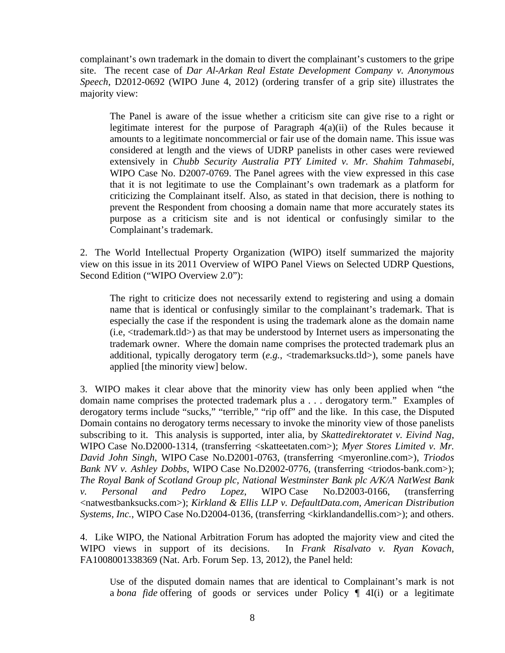complainant's own trademark in the domain to divert the complainant's customers to the gripe site. The recent case of *Dar Al-Arkan Real Estate Development Company v. Anonymous Speech*, D2012-0692 (WIPO June 4, 2012) (ordering transfer of a grip site) illustrates the majority view:

The Panel is aware of the issue whether a criticism site can give rise to a right or legitimate interest for the purpose of Paragraph  $4(a)(ii)$  of the Rules because it amounts to a legitimate noncommercial or fair use of the domain name. This issue was considered at length and the views of UDRP panelists in other cases were reviewed extensively in *Chubb Security Australia PTY Limited v. Mr. Shahim Tahmasebi*, WIPO Case No. D2007-0769. The Panel agrees with the view expressed in this case that it is not legitimate to use the Complainant's own trademark as a platform for criticizing the Complainant itself. Also, as stated in that decision, there is nothing to prevent the Respondent from choosing a domain name that more accurately states its purpose as a criticism site and is not identical or confusingly similar to the Complainant's trademark.

2. The World Intellectual Property Organization (WIPO) itself summarized the majority view on this issue in its 2011 Overview of WIPO Panel Views on Selected UDRP Questions, Second Edition ("WIPO Overview 2.0"):

The right to criticize does not necessarily extend to registering and using a domain name that is identical or confusingly similar to the complainant's trademark. That is especially the case if the respondent is using the trademark alone as the domain name  $(i.e., *strademark*.*tld*)$  as that may be understood by Internet users as impersonating the trademark owner. Where the domain name comprises the protected trademark plus an additional, typically derogatory term (*e.g.*, <trademarksucks.tld>), some panels have applied [the minority view] below.

3. WIPO makes it clear above that the minority view has only been applied when "the domain name comprises the protected trademark plus a . . . derogatory term." Examples of derogatory terms include "sucks," "terrible," "rip off" and the like. In this case, the Disputed Domain contains no derogatory terms necessary to invoke the minority view of those panelists subscribing to it. This analysis is supported, inter alia, by *Skattedirektoratet v. Eivind Nag*, WIPO Case No.D2000-1314, (transferring <skatteetaten.com>); *Myer Stores Limited v. Mr. David John Singh*, WIPO Case No.D2001-0763, (transferring <myeronline.com>), *Triodos Bank NV v. Ashley Dobbs*, WIPO Case No.D2002-0776, (transferring <triodos-bank.com>); *The Royal Bank of Scotland Group plc, National Westminster Bank plc A/K/A NatWest Bank v. Personal and Pedro Lopez*, WIPO Case No.D2003-0166, (transferring <natwestbanksucks.com>); *Kirkland & Ellis LLP v. DefaultData.com, American Distribution Systems, Inc.*, WIPO Case No.D2004-0136, (transferring <kirklandandellis.com>); and others.

4. Like WIPO, the National Arbitration Forum has adopted the majority view and cited the WIPO views in support of its decisions. In *Frank Risalvato v. Ryan Kovach*, FA1008001338369 (Nat. Arb. Forum Sep. 13, 2012), the Panel held:

Use of the disputed domain names that are identical to Complainant's mark is not a *bona fide* offering of goods or services under Policy ¶ 4I(i) or a legitimate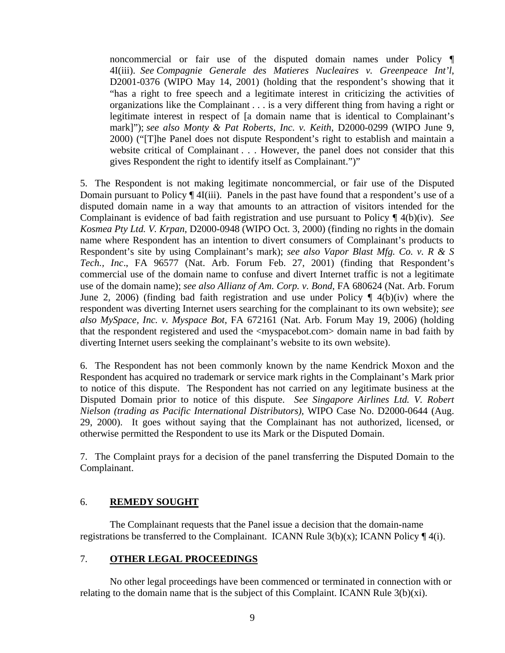noncommercial or fair use of the disputed domain names under Policy ¶ 4I(iii). *See Compagnie Generale des Matieres Nucleaires v. Greenpeace Int'l*, D2001-0376 (WIPO May 14, 2001) (holding that the respondent's showing that it "has a right to free speech and a legitimate interest in criticizing the activities of organizations like the Complainant . . . is a very different thing from having a right or legitimate interest in respect of [a domain name that is identical to Complainant's mark]"); *see also Monty & Pat Roberts, Inc. v. Keith*, D2000-0299 (WIPO June 9, 2000) ("[T]he Panel does not dispute Respondent's right to establish and maintain a website critical of Complainant . . . However, the panel does not consider that this gives Respondent the right to identify itself as Complainant.")"

5. The Respondent is not making legitimate noncommercial, or fair use of the Disputed Domain pursuant to Policy ¶ 4I(iii). Panels in the past have found that a respondent's use of a disputed domain name in a way that amounts to an attraction of visitors intended for the Complainant is evidence of bad faith registration and use pursuant to Policy ¶ 4(b)(iv). *See Kosmea Pty Ltd. V. Krpan*, D2000-0948 (WIPO Oct. 3, 2000) (finding no rights in the domain name where Respondent has an intention to divert consumers of Complainant's products to Respondent's site by using Complainant's mark); *see also Vapor Blast Mfg. Co. v. R & S Tech., Inc*., FA 96577 (Nat. Arb. Forum Feb. 27, 2001) (finding that Respondent's commercial use of the domain name to confuse and divert Internet traffic is not a legitimate use of the domain name); *see also Allianz of Am. Corp. v. Bond*, FA 680624 (Nat. Arb. Forum June 2, 2006) (finding bad faith registration and use under Policy ¶ 4(b)(iv) where the respondent was diverting Internet users searching for the complainant to its own website); *see also MySpace, Inc. v. Myspace Bot*, FA 672161 (Nat. Arb. Forum May 19, 2006) (holding that the respondent registered and used the <myspacebot.com> domain name in bad faith by diverting Internet users seeking the complainant's website to its own website).

6. The Respondent has not been commonly known by the name Kendrick Moxon and the Respondent has acquired no trademark or service mark rights in the Complainant's Mark prior to notice of this dispute. The Respondent has not carried on any legitimate business at the Disputed Domain prior to notice of this dispute. *See Singapore Airlines Ltd. V. Robert Nielson (trading as Pacific International Distributors)*, WIPO Case No. D2000-0644 (Aug. 29, 2000). It goes without saying that the Complainant has not authorized, licensed, or otherwise permitted the Respondent to use its Mark or the Disputed Domain.

7. The Complaint prays for a decision of the panel transferring the Disputed Domain to the Complainant.

### 6. **REMEDY SOUGHT**

The Complainant requests that the Panel issue a decision that the domain-name registrations be transferred to the Complainant. ICANN Rule  $3(b)(x)$ ; ICANN Policy  $\P$  4(i).

### 7. **OTHER LEGAL PROCEEDINGS**

 No other legal proceedings have been commenced or terminated in connection with or relating to the domain name that is the subject of this Complaint. ICANN Rule 3(b)(xi).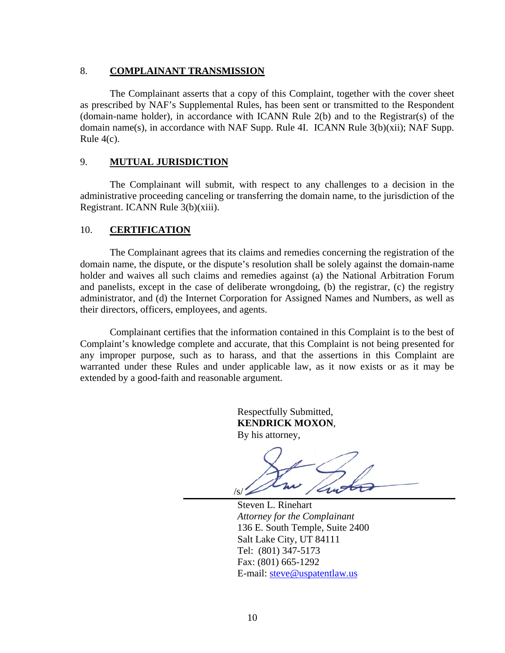#### 8. **COMPLAINANT TRANSMISSION**

The Complainant asserts that a copy of this Complaint, together with the cover sheet as prescribed by NAF's Supplemental Rules, has been sent or transmitted to the Respondent (domain-name holder), in accordance with ICANN Rule 2(b) and to the Registrar(s) of the domain name(s), in accordance with NAF Supp. Rule 4I. ICANN Rule 3(b)(xii); NAF Supp. Rule 4(c).

#### 9. **MUTUAL JURISDICTION**

The Complainant will submit, with respect to any challenges to a decision in the administrative proceeding canceling or transferring the domain name, to the jurisdiction of the Registrant. ICANN Rule 3(b)(xiii).

### 10. **CERTIFICATION**

The Complainant agrees that its claims and remedies concerning the registration of the domain name, the dispute, or the dispute's resolution shall be solely against the domain-name holder and waives all such claims and remedies against (a) the National Arbitration Forum and panelists, except in the case of deliberate wrongdoing, (b) the registrar, (c) the registry administrator, and (d) the Internet Corporation for Assigned Names and Numbers, as well as their directors, officers, employees, and agents.

Complainant certifies that the information contained in this Complaint is to the best of Complaint's knowledge complete and accurate, that this Complaint is not being presented for any improper purpose, such as to harass, and that the assertions in this Complaint are warranted under these Rules and under applicable law, as it now exists or as it may be extended by a good-faith and reasonable argument.

> Respectfully Submitted, **KENDRICK MOXON**, By his attorney,

 $\sqrt{S}$ 

Steven L. Rinehart *Attorney for the Complainant*  136 E. South Temple, Suite 2400 Salt Lake City, UT 84111 Tel: (801) 347-5173 Fax: (801) 665-1292 E-mail: steve@uspatentlaw.us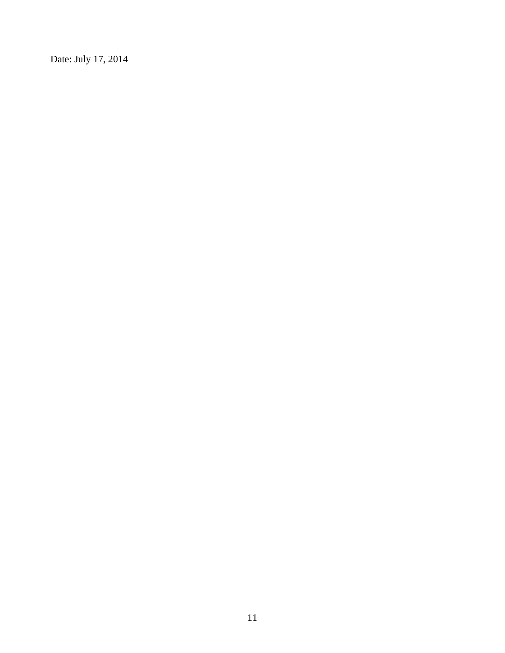Date: July 17, 2014